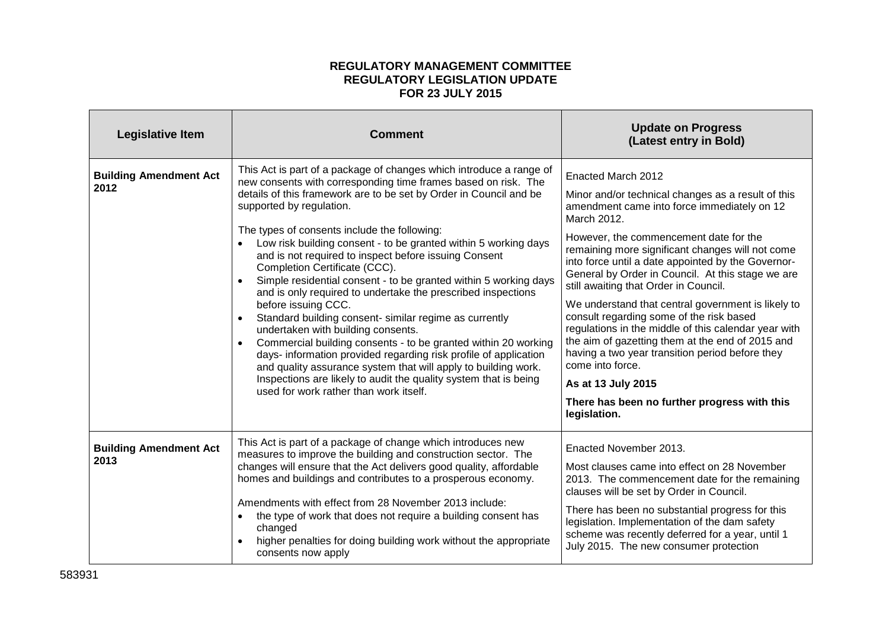## **REGULATORY MANAGEMENT COMMITTEE REGULATORY LEGISLATION UPDATE FOR 23 JULY 2015**

| <b>Legislative Item</b>               | <b>Comment</b>                                                                                                                                                                                                                                                                                                                                                                                                                                                                                                                                                                                                                                                                                                                                                                                                                                                                                                                                                                                                                                     | <b>Update on Progress</b><br>(Latest entry in Bold)                                                                                                                                                                                                                                                                                                                                                                                                                                                                                                                                                                                                                                                                                                                 |
|---------------------------------------|----------------------------------------------------------------------------------------------------------------------------------------------------------------------------------------------------------------------------------------------------------------------------------------------------------------------------------------------------------------------------------------------------------------------------------------------------------------------------------------------------------------------------------------------------------------------------------------------------------------------------------------------------------------------------------------------------------------------------------------------------------------------------------------------------------------------------------------------------------------------------------------------------------------------------------------------------------------------------------------------------------------------------------------------------|---------------------------------------------------------------------------------------------------------------------------------------------------------------------------------------------------------------------------------------------------------------------------------------------------------------------------------------------------------------------------------------------------------------------------------------------------------------------------------------------------------------------------------------------------------------------------------------------------------------------------------------------------------------------------------------------------------------------------------------------------------------------|
| <b>Building Amendment Act</b><br>2012 | This Act is part of a package of changes which introduce a range of<br>new consents with corresponding time frames based on risk. The<br>details of this framework are to be set by Order in Council and be<br>supported by regulation.<br>The types of consents include the following:<br>Low risk building consent - to be granted within 5 working days<br>and is not required to inspect before issuing Consent<br>Completion Certificate (CCC).<br>Simple residential consent - to be granted within 5 working days<br>and is only required to undertake the prescribed inspections<br>before issuing CCC.<br>Standard building consent- similar regime as currently<br>undertaken with building consents.<br>Commercial building consents - to be granted within 20 working<br>$\bullet$<br>days- information provided regarding risk profile of application<br>and quality assurance system that will apply to building work.<br>Inspections are likely to audit the quality system that is being<br>used for work rather than work itself. | Enacted March 2012<br>Minor and/or technical changes as a result of this<br>amendment came into force immediately on 12<br>March 2012.<br>However, the commencement date for the<br>remaining more significant changes will not come<br>into force until a date appointed by the Governor-<br>General by Order in Council. At this stage we are<br>still awaiting that Order in Council.<br>We understand that central government is likely to<br>consult regarding some of the risk based<br>regulations in the middle of this calendar year with<br>the aim of gazetting them at the end of 2015 and<br>having a two year transition period before they<br>come into force.<br>As at 13 July 2015<br>There has been no further progress with this<br>legislation. |
| <b>Building Amendment Act</b><br>2013 | This Act is part of a package of change which introduces new<br>measures to improve the building and construction sector. The<br>changes will ensure that the Act delivers good quality, affordable<br>homes and buildings and contributes to a prosperous economy.<br>Amendments with effect from 28 November 2013 include:<br>the type of work that does not require a building consent has<br>changed<br>higher penalties for doing building work without the appropriate<br>consents now apply                                                                                                                                                                                                                                                                                                                                                                                                                                                                                                                                                 | Enacted November 2013.<br>Most clauses came into effect on 28 November<br>2013. The commencement date for the remaining<br>clauses will be set by Order in Council.<br>There has been no substantial progress for this<br>legislation. Implementation of the dam safety<br>scheme was recently deferred for a year, until 1<br>July 2015. The new consumer protection                                                                                                                                                                                                                                                                                                                                                                                               |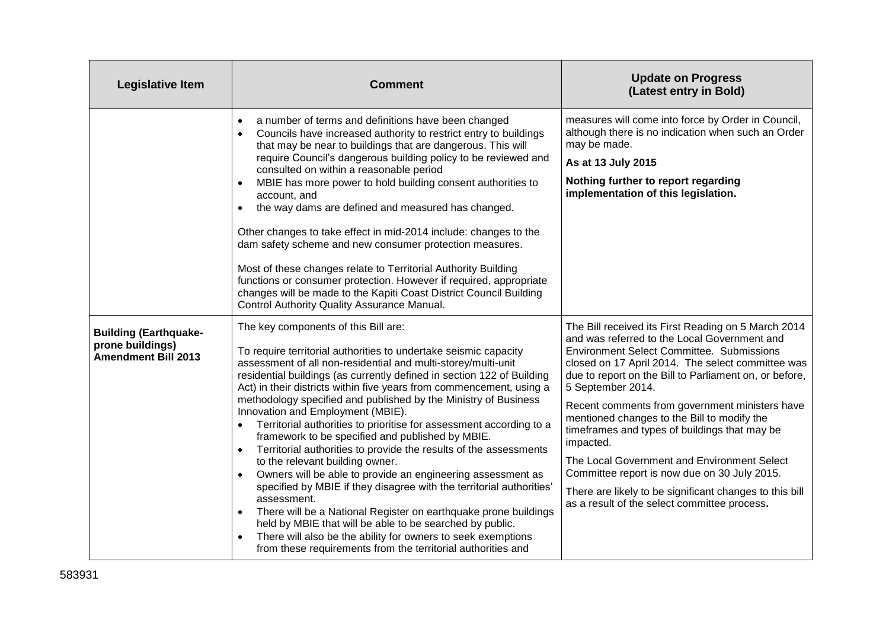| <b>Legislative Item</b>                                                        | <b>Comment</b>                                                                                                                                                                                                                                                                                                                                                                                                                                                                                                                                                                                                                                                                                                                                                                                                                                                                                                                                                                                                                                                                                                                     | <b>Update on Progress</b><br>(Latest entry in Bold)                                                                                                                                                                                                                                                                                                                                                                                                                                                                                                                                                                                                                  |
|--------------------------------------------------------------------------------|------------------------------------------------------------------------------------------------------------------------------------------------------------------------------------------------------------------------------------------------------------------------------------------------------------------------------------------------------------------------------------------------------------------------------------------------------------------------------------------------------------------------------------------------------------------------------------------------------------------------------------------------------------------------------------------------------------------------------------------------------------------------------------------------------------------------------------------------------------------------------------------------------------------------------------------------------------------------------------------------------------------------------------------------------------------------------------------------------------------------------------|----------------------------------------------------------------------------------------------------------------------------------------------------------------------------------------------------------------------------------------------------------------------------------------------------------------------------------------------------------------------------------------------------------------------------------------------------------------------------------------------------------------------------------------------------------------------------------------------------------------------------------------------------------------------|
|                                                                                | a number of terms and definitions have been changed<br>$\bullet$<br>Councils have increased authority to restrict entry to buildings<br>$\bullet$<br>that may be near to buildings that are dangerous. This will<br>require Council's dangerous building policy to be reviewed and<br>consulted on within a reasonable period<br>MBIE has more power to hold building consent authorities to<br>$\bullet$<br>account, and<br>the way dams are defined and measured has changed.<br>$\bullet$<br>Other changes to take effect in mid-2014 include: changes to the<br>dam safety scheme and new consumer protection measures.<br>Most of these changes relate to Territorial Authority Building<br>functions or consumer protection. However if required, appropriate<br>changes will be made to the Kapiti Coast District Council Building<br>Control Authority Quality Assurance Manual.                                                                                                                                                                                                                                           | measures will come into force by Order in Council,<br>although there is no indication when such an Order<br>may be made.<br>As at 13 July 2015<br>Nothing further to report regarding<br>implementation of this legislation.                                                                                                                                                                                                                                                                                                                                                                                                                                         |
| <b>Building (Earthquake-</b><br>prone buildings)<br><b>Amendment Bill 2013</b> | The key components of this Bill are:<br>To require territorial authorities to undertake seismic capacity<br>assessment of all non-residential and multi-storey/multi-unit<br>residential buildings (as currently defined in section 122 of Building<br>Act) in their districts within five years from commencement, using a<br>methodology specified and published by the Ministry of Business<br>Innovation and Employment (MBIE).<br>Territorial authorities to prioritise for assessment according to a<br>$\bullet$<br>framework to be specified and published by MBIE.<br>Territorial authorities to provide the results of the assessments<br>$\bullet$<br>to the relevant building owner.<br>Owners will be able to provide an engineering assessment as<br>specified by MBIE if they disagree with the territorial authorities'<br>assessment.<br>There will be a National Register on earthquake prone buildings<br>$\bullet$<br>held by MBIE that will be able to be searched by public.<br>There will also be the ability for owners to seek exemptions<br>from these requirements from the territorial authorities and | The Bill received its First Reading on 5 March 2014<br>and was referred to the Local Government and<br><b>Environment Select Committee. Submissions</b><br>closed on 17 April 2014. The select committee was<br>due to report on the Bill to Parliament on, or before,<br>5 September 2014.<br>Recent comments from government ministers have<br>mentioned changes to the Bill to modify the<br>timeframes and types of buildings that may be<br>impacted.<br>The Local Government and Environment Select<br>Committee report is now due on 30 July 2015.<br>There are likely to be significant changes to this bill<br>as a result of the select committee process. |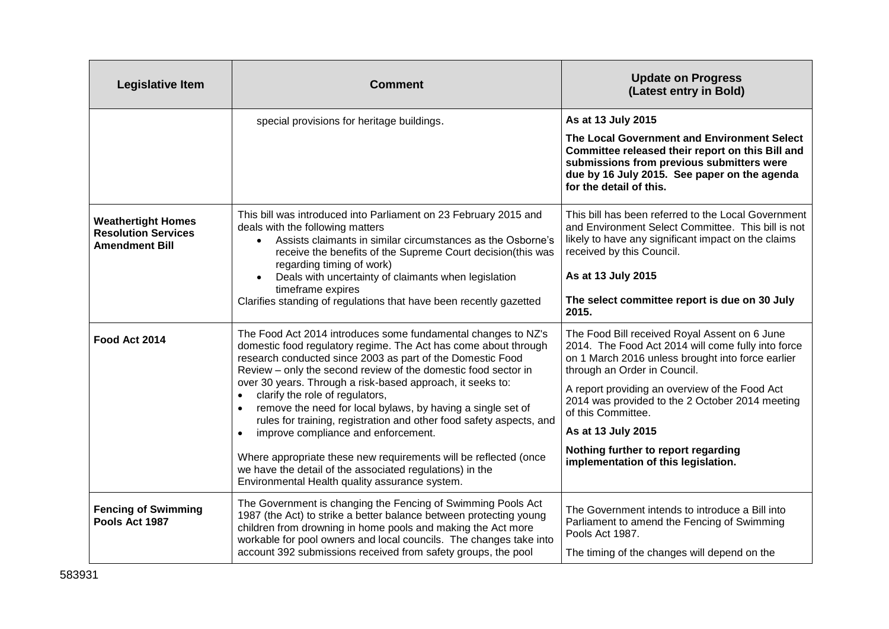| <b>Legislative Item</b>                                                          | <b>Comment</b>                                                                                                                                                                                                                                                                                                                            | <b>Update on Progress</b><br>(Latest entry in Bold)                                                                                                                                                                     |
|----------------------------------------------------------------------------------|-------------------------------------------------------------------------------------------------------------------------------------------------------------------------------------------------------------------------------------------------------------------------------------------------------------------------------------------|-------------------------------------------------------------------------------------------------------------------------------------------------------------------------------------------------------------------------|
|                                                                                  | special provisions for heritage buildings.                                                                                                                                                                                                                                                                                                | As at 13 July 2015                                                                                                                                                                                                      |
|                                                                                  |                                                                                                                                                                                                                                                                                                                                           | The Local Government and Environment Select<br>Committee released their report on this Bill and<br>submissions from previous submitters were<br>due by 16 July 2015. See paper on the agenda<br>for the detail of this. |
| <b>Weathertight Homes</b><br><b>Resolution Services</b><br><b>Amendment Bill</b> | This bill was introduced into Parliament on 23 February 2015 and<br>deals with the following matters<br>Assists claimants in similar circumstances as the Osborne's<br>$\bullet$<br>receive the benefits of the Supreme Court decision(this was<br>regarding timing of work)                                                              | This bill has been referred to the Local Government<br>and Environment Select Committee. This bill is not<br>likely to have any significant impact on the claims<br>received by this Council.                           |
|                                                                                  | Deals with uncertainty of claimants when legislation                                                                                                                                                                                                                                                                                      | As at 13 July 2015                                                                                                                                                                                                      |
|                                                                                  | timeframe expires<br>Clarifies standing of regulations that have been recently gazetted                                                                                                                                                                                                                                                   | The select committee report is due on 30 July<br>2015.                                                                                                                                                                  |
| Food Act 2014                                                                    | The Food Act 2014 introduces some fundamental changes to NZ's<br>domestic food regulatory regime. The Act has come about through<br>research conducted since 2003 as part of the Domestic Food<br>Review - only the second review of the domestic food sector in                                                                          | The Food Bill received Royal Assent on 6 June<br>2014. The Food Act 2014 will come fully into force<br>on 1 March 2016 unless brought into force earlier<br>through an Order in Council.                                |
|                                                                                  | over 30 years. Through a risk-based approach, it seeks to:<br>clarify the role of regulators,<br>$\bullet$<br>remove the need for local bylaws, by having a single set of<br>$\bullet$<br>rules for training, registration and other food safety aspects, and<br>improve compliance and enforcement.<br>$\bullet$                         | A report providing an overview of the Food Act<br>2014 was provided to the 2 October 2014 meeting<br>of this Committee.                                                                                                 |
|                                                                                  |                                                                                                                                                                                                                                                                                                                                           | As at 13 July 2015                                                                                                                                                                                                      |
|                                                                                  | Where appropriate these new requirements will be reflected (once<br>we have the detail of the associated regulations) in the<br>Environmental Health quality assurance system.                                                                                                                                                            | Nothing further to report regarding<br>implementation of this legislation.                                                                                                                                              |
| <b>Fencing of Swimming</b><br>Pools Act 1987                                     | The Government is changing the Fencing of Swimming Pools Act<br>1987 (the Act) to strike a better balance between protecting young<br>children from drowning in home pools and making the Act more<br>workable for pool owners and local councils. The changes take into<br>account 392 submissions received from safety groups, the pool | The Government intends to introduce a Bill into<br>Parliament to amend the Fencing of Swimming<br>Pools Act 1987.                                                                                                       |
|                                                                                  |                                                                                                                                                                                                                                                                                                                                           | The timing of the changes will depend on the                                                                                                                                                                            |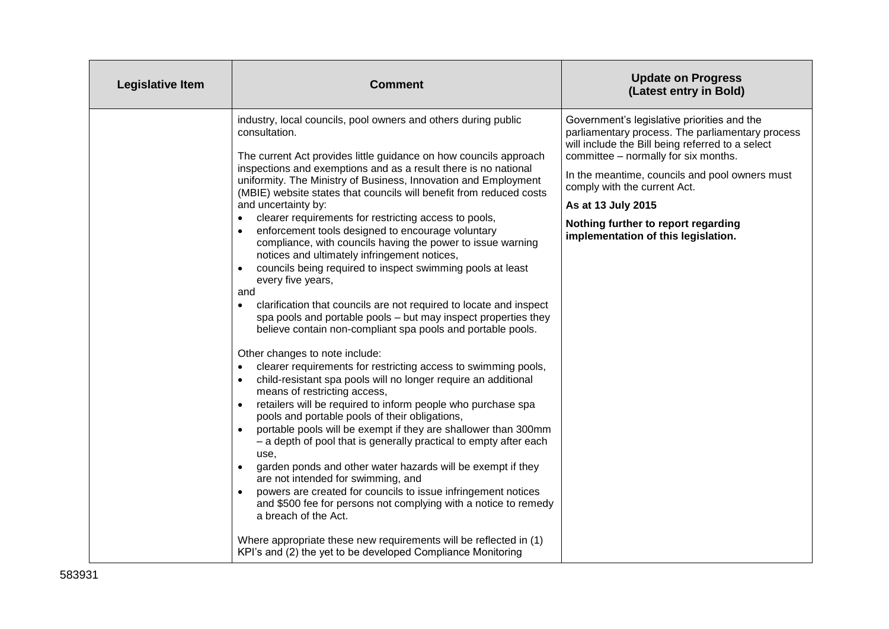| Legislative Item | <b>Comment</b>                                                                                                                                                                                                                                                                                                                                                                                                                                                                                                                                                                                                                                                                                                                                                                                                                                                                                                                                                                                                                                                                                                                                                                                                                                                                                                                                                                                                                                                                                                                                                                                                                                                                                                                                                                                                                                                                                | <b>Update on Progress</b><br>(Latest entry in Bold)                                                                                                                                                                                                                                                                                                                               |
|------------------|-----------------------------------------------------------------------------------------------------------------------------------------------------------------------------------------------------------------------------------------------------------------------------------------------------------------------------------------------------------------------------------------------------------------------------------------------------------------------------------------------------------------------------------------------------------------------------------------------------------------------------------------------------------------------------------------------------------------------------------------------------------------------------------------------------------------------------------------------------------------------------------------------------------------------------------------------------------------------------------------------------------------------------------------------------------------------------------------------------------------------------------------------------------------------------------------------------------------------------------------------------------------------------------------------------------------------------------------------------------------------------------------------------------------------------------------------------------------------------------------------------------------------------------------------------------------------------------------------------------------------------------------------------------------------------------------------------------------------------------------------------------------------------------------------------------------------------------------------------------------------------------------------|-----------------------------------------------------------------------------------------------------------------------------------------------------------------------------------------------------------------------------------------------------------------------------------------------------------------------------------------------------------------------------------|
|                  | industry, local councils, pool owners and others during public<br>consultation.<br>The current Act provides little guidance on how councils approach<br>inspections and exemptions and as a result there is no national<br>uniformity. The Ministry of Business, Innovation and Employment<br>(MBIE) website states that councils will benefit from reduced costs<br>and uncertainty by:<br>clearer requirements for restricting access to pools,<br>$\bullet$<br>enforcement tools designed to encourage voluntary<br>$\bullet$<br>compliance, with councils having the power to issue warning<br>notices and ultimately infringement notices,<br>councils being required to inspect swimming pools at least<br>every five years,<br>and<br>clarification that councils are not required to locate and inspect<br>$\bullet$<br>spa pools and portable pools - but may inspect properties they<br>believe contain non-compliant spa pools and portable pools.<br>Other changes to note include:<br>clearer requirements for restricting access to swimming pools,<br>$\bullet$<br>child-resistant spa pools will no longer require an additional<br>$\bullet$<br>means of restricting access,<br>retailers will be required to inform people who purchase spa<br>$\bullet$<br>pools and portable pools of their obligations,<br>portable pools will be exempt if they are shallower than 300mm<br>- a depth of pool that is generally practical to empty after each<br>use.<br>garden ponds and other water hazards will be exempt if they<br>$\bullet$<br>are not intended for swimming, and<br>powers are created for councils to issue infringement notices<br>and \$500 fee for persons not complying with a notice to remedy<br>a breach of the Act.<br>Where appropriate these new requirements will be reflected in (1)<br>KPI's and (2) the yet to be developed Compliance Monitoring | Government's legislative priorities and the<br>parliamentary process. The parliamentary process<br>will include the Bill being referred to a select<br>committee - normally for six months.<br>In the meantime, councils and pool owners must<br>comply with the current Act.<br>As at 13 July 2015<br>Nothing further to report regarding<br>implementation of this legislation. |